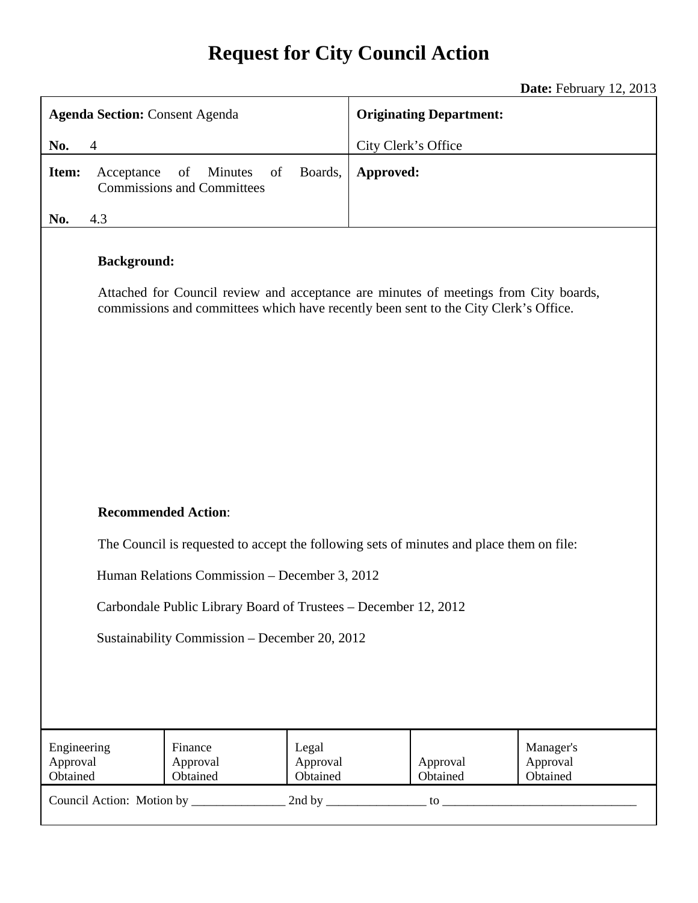# **Request for City Council Action**

**Date:** February 12, 2013

| <b>Agenda Section: Consent Agenda</b>                                                                                                                                                              |                                                                                   |           | <b>Originating Department:</b>               |  |
|----------------------------------------------------------------------------------------------------------------------------------------------------------------------------------------------------|-----------------------------------------------------------------------------------|-----------|----------------------------------------------|--|
| No.<br>$\overline{4}$                                                                                                                                                                              |                                                                                   |           | City Clerk's Office                          |  |
| Item:                                                                                                                                                                                              | of<br>Boards,<br>Minutes<br>Acceptance<br>of<br><b>Commissions and Committees</b> | Approved: |                                              |  |
| 4.3<br>No.                                                                                                                                                                                         |                                                                                   |           |                                              |  |
| <b>Background:</b><br>Attached for Council review and acceptance are minutes of meetings from City boards,<br>commissions and committees which have recently been sent to the City Clerk's Office. |                                                                                   |           |                                              |  |
| <b>Recommended Action:</b>                                                                                                                                                                         |                                                                                   |           |                                              |  |
| The Council is requested to accept the following sets of minutes and place them on file:                                                                                                           |                                                                                   |           |                                              |  |
| Human Relations Commission – December 3, 2012                                                                                                                                                      |                                                                                   |           |                                              |  |
| Carbondale Public Library Board of Trustees - December 12, 2012                                                                                                                                    |                                                                                   |           |                                              |  |
| Sustainability Commission - December 20, 2012                                                                                                                                                      |                                                                                   |           |                                              |  |
|                                                                                                                                                                                                    |                                                                                   |           |                                              |  |
| Engineering                                                                                                                                                                                        | Finance<br>Legal                                                                  |           | Manager's                                    |  |
| Approval<br>Obtained                                                                                                                                                                               | Approval<br>Approval<br>Obtained<br>Obtained                                      |           | Approval<br>Approval<br>Obtained<br>Obtained |  |
|                                                                                                                                                                                                    |                                                                                   |           |                                              |  |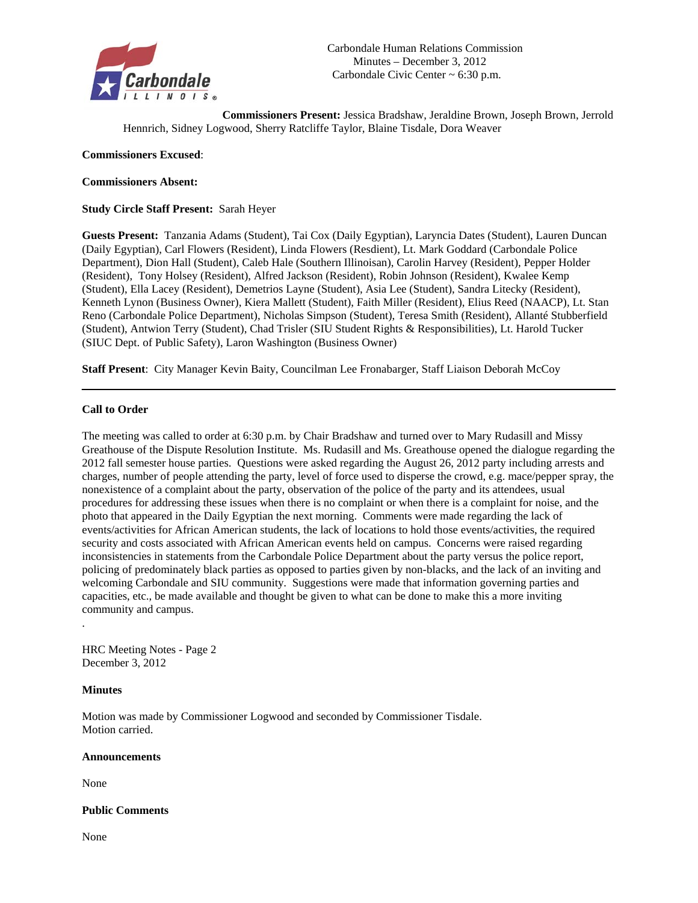

**Commissioners Present:** Jessica Bradshaw, Jeraldine Brown, Joseph Brown, Jerrold Hennrich, Sidney Logwood, Sherry Ratcliffe Taylor, Blaine Tisdale, Dora Weaver

#### **Commissioners Excused**:

#### **Commissioners Absent:**

**Study Circle Staff Present:** Sarah Heyer

**Guests Present:** Tanzania Adams (Student), Tai Cox (Daily Egyptian), Laryncia Dates (Student), Lauren Duncan (Daily Egyptian), Carl Flowers (Resident), Linda Flowers (Resdient), Lt. Mark Goddard (Carbondale Police Department), Dion Hall (Student), Caleb Hale (Southern Illinoisan), Carolin Harvey (Resident), Pepper Holder (Resident), Tony Holsey (Resident), Alfred Jackson (Resident), Robin Johnson (Resident), Kwalee Kemp (Student), Ella Lacey (Resident), Demetrios Layne (Student), Asia Lee (Student), Sandra Litecky (Resident), Kenneth Lynon (Business Owner), Kiera Mallett (Student), Faith Miller (Resident), Elius Reed (NAACP), Lt. Stan Reno (Carbondale Police Department), Nicholas Simpson (Student), Teresa Smith (Resident), Allanté Stubberfield (Student), Antwion Terry (Student), Chad Trisler (SIU Student Rights & Responsibilities), Lt. Harold Tucker (SIUC Dept. of Public Safety), Laron Washington (Business Owner)

**Staff Present**: City Manager Kevin Baity, Councilman Lee Fronabarger, Staff Liaison Deborah McCoy

#### **Call to Order**

The meeting was called to order at 6:30 p.m. by Chair Bradshaw and turned over to Mary Rudasill and Missy Greathouse of the Dispute Resolution Institute. Ms. Rudasill and Ms. Greathouse opened the dialogue regarding the 2012 fall semester house parties. Questions were asked regarding the August 26, 2012 party including arrests and charges, number of people attending the party, level of force used to disperse the crowd, e.g. mace/pepper spray, the nonexistence of a complaint about the party, observation of the police of the party and its attendees, usual procedures for addressing these issues when there is no complaint or when there is a complaint for noise, and the photo that appeared in the Daily Egyptian the next morning. Comments were made regarding the lack of events/activities for African American students, the lack of locations to hold those events/activities, the required security and costs associated with African American events held on campus. Concerns were raised regarding inconsistencies in statements from the Carbondale Police Department about the party versus the police report, policing of predominately black parties as opposed to parties given by non-blacks, and the lack of an inviting and welcoming Carbondale and SIU community. Suggestions were made that information governing parties and capacities, etc., be made available and thought be given to what can be done to make this a more inviting community and campus.

HRC Meeting Notes - Page 2 December 3, 2012

#### **Minutes**

.

Motion was made by Commissioner Logwood and seconded by Commissioner Tisdale. Motion carried.

#### **Announcements**

None

**Public Comments** 

None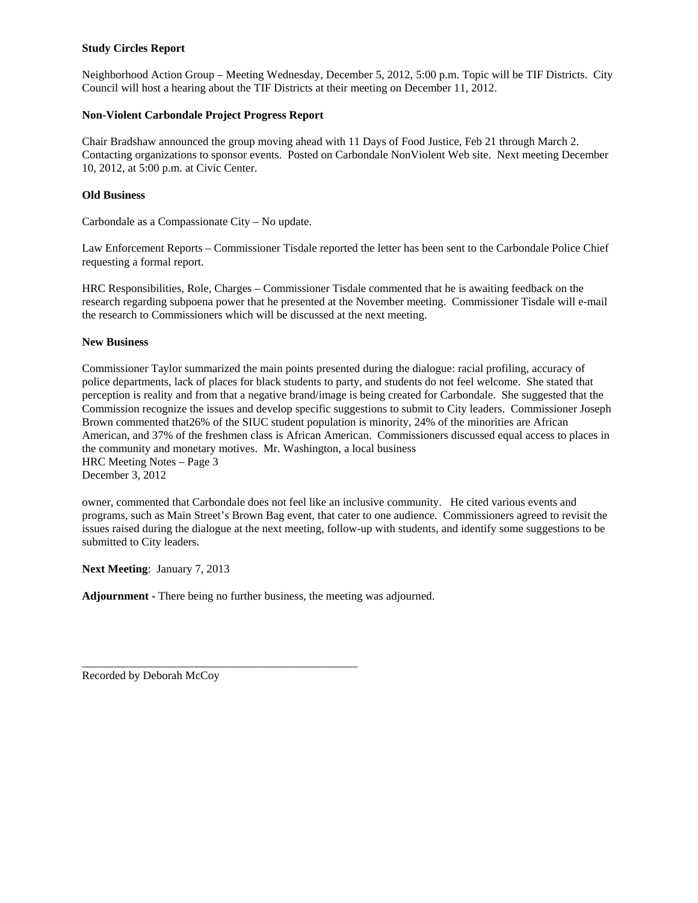#### **Study Circles Report**

Neighborhood Action Group – Meeting Wednesday, December 5, 2012, 5:00 p.m. Topic will be TIF Districts. City Council will host a hearing about the TIF Districts at their meeting on December 11, 2012.

#### **Non-Violent Carbondale Project Progress Report**

Chair Bradshaw announced the group moving ahead with 11 Days of Food Justice, Feb 21 through March 2. Contacting organizations to sponsor events. Posted on Carbondale NonViolent Web site. Next meeting December 10, 2012, at 5:00 p.m. at Civic Center.

#### **Old Business**

Carbondale as a Compassionate City – No update.

Law Enforcement Reports – Commissioner Tisdale reported the letter has been sent to the Carbondale Police Chief requesting a formal report.

HRC Responsibilities, Role, Charges – Commissioner Tisdale commented that he is awaiting feedback on the research regarding subpoena power that he presented at the November meeting. Commissioner Tisdale will e-mail the research to Commissioners which will be discussed at the next meeting.

#### **New Business**

Commissioner Taylor summarized the main points presented during the dialogue: racial profiling, accuracy of police departments, lack of places for black students to party, and students do not feel welcome. She stated that perception is reality and from that a negative brand/image is being created for Carbondale. She suggested that the Commission recognize the issues and develop specific suggestions to submit to City leaders. Commissioner Joseph Brown commented that26% of the SIUC student population is minority, 24% of the minorities are African American, and 37% of the freshmen class is African American. Commissioners discussed equal access to places in the community and monetary motives. Mr. Washington, a local business HRC Meeting Notes – Page 3 December 3, 2012

owner, commented that Carbondale does not feel like an inclusive community. He cited various events and programs, such as Main Street's Brown Bag event, that cater to one audience. Commissioners agreed to revisit the issues raised during the dialogue at the next meeting, follow-up with students, and identify some suggestions to be submitted to City leaders.

**Next Meeting**: January 7, 2013

**Adjournment -** There being no further business, the meeting was adjourned.

\_\_\_\_\_\_\_\_\_\_\_\_\_\_\_\_\_\_\_\_\_\_\_\_\_\_\_\_\_\_\_\_\_\_\_\_\_\_\_\_\_\_\_\_\_\_\_\_

Recorded by Deborah McCoy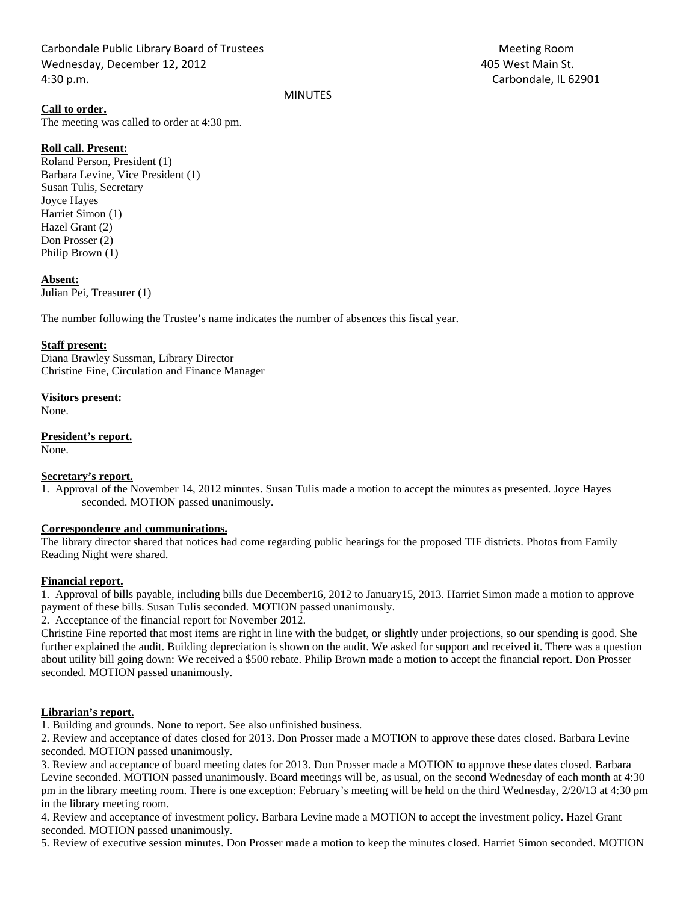Carbondale Public Library Board of Trustees Meeting Room Wednesday, December 12, 2012 **1998 12: 10:30 West Main St.** 405 West Main St. 4:30 p.m. Carbondale, IL 62901

**Call to order.** 

The meeting was called to order at 4:30 pm.

#### **Roll call. Present:**

Roland Person, President (1) Barbara Levine, Vice President (1) Susan Tulis, Secretary Joyce Hayes Harriet Simon (1) Hazel Grant (2) Don Prosser (2) Philip Brown (1)

#### **Absent:**

Julian Pei, Treasurer (1)

The number following the Trustee's name indicates the number of absences this fiscal year.

#### **Staff present:**

Diana Brawley Sussman, Library Director Christine Fine, Circulation and Finance Manager

#### **Visitors present:**

None.

#### **President's report.**

None.

#### **Secretary's report.**

1. Approval of the November 14, 2012 minutes. Susan Tulis made a motion to accept the minutes as presented. Joyce Hayes seconded. MOTION passed unanimously.

MINUTES

#### **Correspondence and communications.**

The library director shared that notices had come regarding public hearings for the proposed TIF districts. Photos from Family Reading Night were shared.

#### **Financial report.**

1. Approval of bills payable, including bills due December16, 2012 to January15, 2013. Harriet Simon made a motion to approve payment of these bills. Susan Tulis seconded. MOTION passed unanimously.

2. Acceptance of the financial report for November 2012.

Christine Fine reported that most items are right in line with the budget, or slightly under projections, so our spending is good. She further explained the audit. Building depreciation is shown on the audit. We asked for support and received it. There was a question about utility bill going down: We received a \$500 rebate. Philip Brown made a motion to accept the financial report. Don Prosser seconded. MOTION passed unanimously.

#### **Librarian's report.**

1. Building and grounds. None to report. See also unfinished business.

2. Review and acceptance of dates closed for 2013. Don Prosser made a MOTION to approve these dates closed. Barbara Levine seconded. MOTION passed unanimously.

3. Review and acceptance of board meeting dates for 2013. Don Prosser made a MOTION to approve these dates closed. Barbara Levine seconded. MOTION passed unanimously. Board meetings will be, as usual, on the second Wednesday of each month at 4:30 pm in the library meeting room. There is one exception: February's meeting will be held on the third Wednesday, 2/20/13 at 4:30 pm in the library meeting room.

4. Review and acceptance of investment policy. Barbara Levine made a MOTION to accept the investment policy. Hazel Grant seconded. MOTION passed unanimously.

5. Review of executive session minutes. Don Prosser made a motion to keep the minutes closed. Harriet Simon seconded. MOTION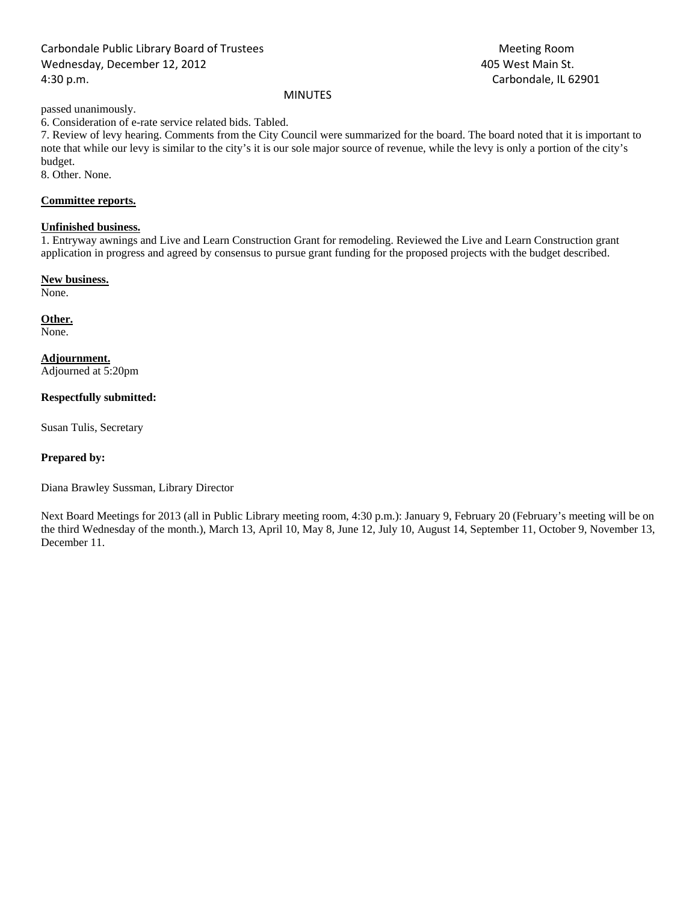### Carbondale Public Library Board of Trustees Meeting Room Wednesday, December 12, 2012 and the state of the state of the 405 West Main St. 4:30 p.m. Carbondale, IL 62901

#### MINUTES

passed unanimously.

6. Consideration of e-rate service related bids. Tabled.

7. Review of levy hearing. Comments from the City Council were summarized for the board. The board noted that it is important to note that while our levy is similar to the city's it is our sole major source of revenue, while the levy is only a portion of the city's budget.

8. Other. None.

#### **Committee reports.**

#### **Unfinished business.**

1. Entryway awnings and Live and Learn Construction Grant for remodeling. Reviewed the Live and Learn Construction grant application in progress and agreed by consensus to pursue grant funding for the proposed projects with the budget described.

#### **New business.**

None.

## **Other.**

None.

#### **Adjournment.**

Adjourned at 5:20pm

#### **Respectfully submitted:**

Susan Tulis, Secretary

#### **Prepared by:**

Diana Brawley Sussman, Library Director

Next Board Meetings for 2013 (all in Public Library meeting room, 4:30 p.m.): January 9, February 20 (February's meeting will be on the third Wednesday of the month.), March 13, April 10, May 8, June 12, July 10, August 14, September 11, October 9, November 13, December 11.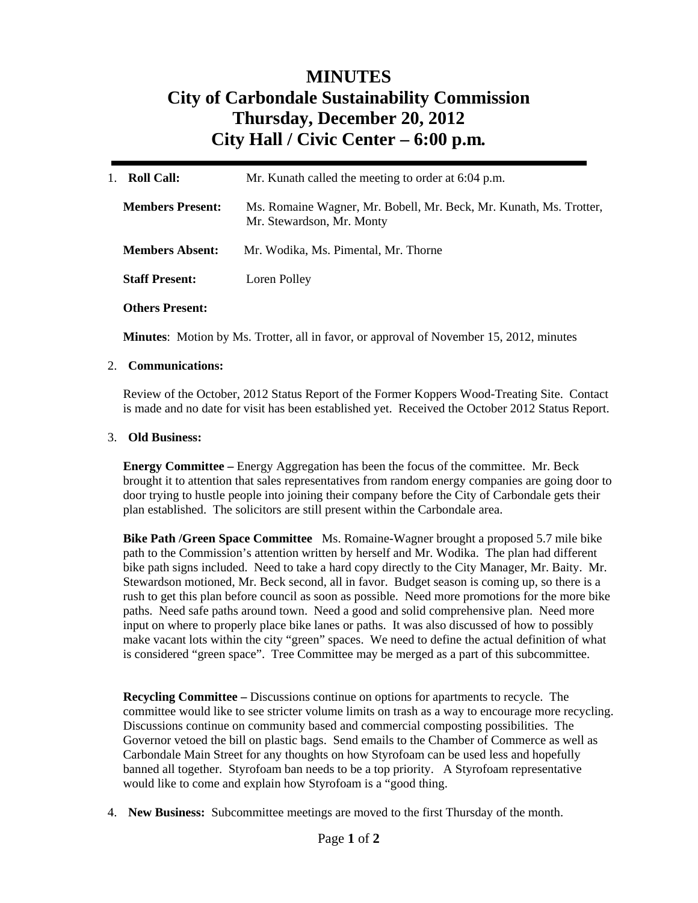# **MINUTES City of Carbondale Sustainability Commission Thursday, December 20, 2012 City Hall / Civic Center – 6:00 p.m***.*

| <b>Roll Call:</b><br>$1_{-}$ | Mr. Kunath called the meeting to order at 6:04 p.m.                                             |
|------------------------------|-------------------------------------------------------------------------------------------------|
| <b>Members Present:</b>      | Ms. Romaine Wagner, Mr. Bobell, Mr. Beck, Mr. Kunath, Ms. Trotter,<br>Mr. Stewardson, Mr. Monty |
| <b>Members Absent:</b>       | Mr. Wodika, Ms. Pimental, Mr. Thorne                                                            |
| <b>Staff Present:</b>        | Loren Polley                                                                                    |
| <b>Others Present:</b>       |                                                                                                 |

**Minutes**: Motion by Ms. Trotter, all in favor, or approval of November 15, 2012, minutes

#### 2. **Communications:**

Review of the October, 2012 Status Report of the Former Koppers Wood-Treating Site. Contact is made and no date for visit has been established yet. Received the October 2012 Status Report.

#### 3. **Old Business:**

**Energy Committee –** Energy Aggregation has been the focus of the committee. Mr. Beck brought it to attention that sales representatives from random energy companies are going door to door trying to hustle people into joining their company before the City of Carbondale gets their plan established. The solicitors are still present within the Carbondale area.

**Bike Path /Green Space Committee** Ms. Romaine-Wagner brought a proposed 5.7 mile bike path to the Commission's attention written by herself and Mr. Wodika. The plan had different bike path signs included. Need to take a hard copy directly to the City Manager, Mr. Baity. Mr. Stewardson motioned, Mr. Beck second, all in favor. Budget season is coming up, so there is a rush to get this plan before council as soon as possible. Need more promotions for the more bike paths. Need safe paths around town. Need a good and solid comprehensive plan. Need more input on where to properly place bike lanes or paths. It was also discussed of how to possibly make vacant lots within the city "green" spaces. We need to define the actual definition of what is considered "green space". Tree Committee may be merged as a part of this subcommittee.

**Recycling Committee –** Discussions continue on options for apartments to recycle. The committee would like to see stricter volume limits on trash as a way to encourage more recycling. Discussions continue on community based and commercial composting possibilities. The Governor vetoed the bill on plastic bags. Send emails to the Chamber of Commerce as well as Carbondale Main Street for any thoughts on how Styrofoam can be used less and hopefully banned all together. Styrofoam ban needs to be a top priority. A Styrofoam representative would like to come and explain how Styrofoam is a "good thing.

4. **New Business:** Subcommittee meetings are moved to the first Thursday of the month.